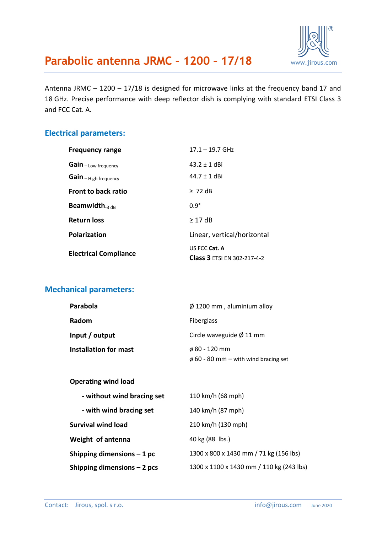

Antenna JRMC – 1200 – 17/18 is designed for microwave links at the frequency band 17 and 18 GHz. Precise performance with deep reflector dish is complying with standard ETSI Class 3 and FCC Cat. A.

### **Electrical parameters:**

| <b>Frequency range</b>                | $17.1 - 19.7$ GHz                  |
|---------------------------------------|------------------------------------|
| Gain - Low frequency                  | $43.2 + 1$ dBi                     |
| Gain - High frequency                 | $44.7 + 1$ dBi                     |
| <b>Front to back ratio</b>            | $\geq 72$ dB                       |
| <b>Beamwidth.</b> $_3$ d <sub>R</sub> | $0.9^\circ$                        |
| <b>Return loss</b>                    | $>17$ dB                           |
| <b>Polarization</b>                   | Linear, vertical/horizontal        |
| <b>Electrical Compliance</b>          | US FCC Cat. A                      |
|                                       | <b>Class 3 ETSI EN 302-217-4-2</b> |

### **Mechanical parameters:**

| Parabola                     | $\varnothing$ 1200 mm, aluminium alloy    |  |
|------------------------------|-------------------------------------------|--|
| Radom                        | <b>Fiberglass</b>                         |  |
| Input / output               | Circle waveguide $\varnothing$ 11 mm      |  |
| <b>Installation for mast</b> | $\phi$ 80 - 120 mm                        |  |
|                              | $\phi$ 60 - 80 mm – with wind bracing set |  |

#### **Operating wind load**

| - without wind bracing set  | 110 km/h (68 mph)                        |
|-----------------------------|------------------------------------------|
| - with wind bracing set     | 140 km/h (87 mph)                        |
| <b>Survival wind load</b>   | 210 km/h (130 mph)                       |
| Weight of antenna           | 40 kg (88 lbs.)                          |
| Shipping dimensions $-1$ pc | 1300 x 800 x 1430 mm / 71 kg (156 lbs)   |
| Shipping dimensions - 2 pcs | 1300 x 1100 x 1430 mm / 110 kg (243 lbs) |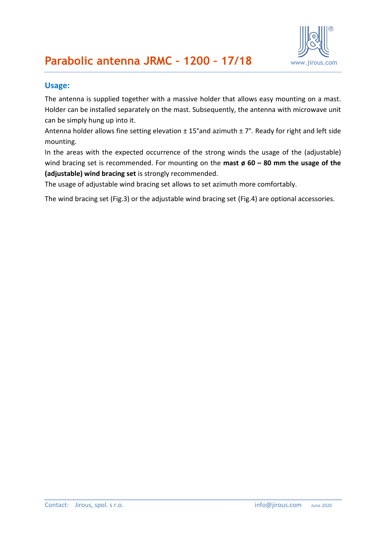

#### **Usage:**

The antenna is supplied together with a massive holder that allows easy mounting on a mast. Holder can be installed separately on the mast. Subsequently, the antenna with microwave unit can be simply hung up into it.

Antenna holder allows fine setting elevation  $\pm$  15°and azimuth  $\pm$  7°. Ready for right and left side mounting.

In the areas with the expected occurrence of the strong winds the usage of the (adjustable) wind bracing set is recommended. For mounting on the **mast ø 60 – 80 mm the usage of the (adjustable) wind bracing set** is strongly recommended.

The usage of adjustable wind bracing set allows to set azimuth more comfortably.

The wind bracing set (Fig.3) or the adjustable wind bracing set (Fig.4) are optional accessories.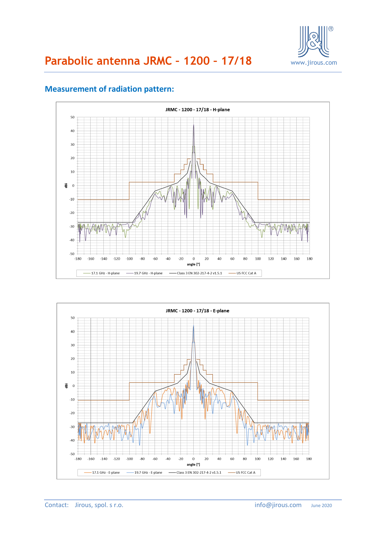



### **Measurement of radiation pattern:**

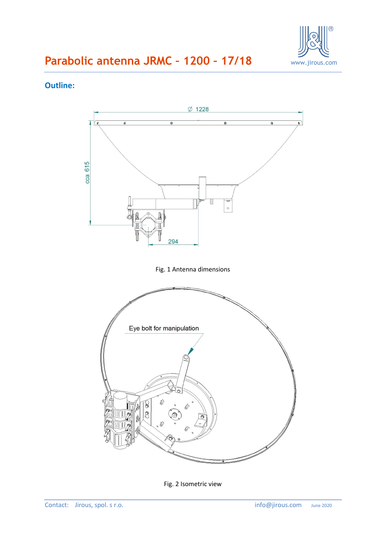

### **Outline:**



Fig. 2 Isometric view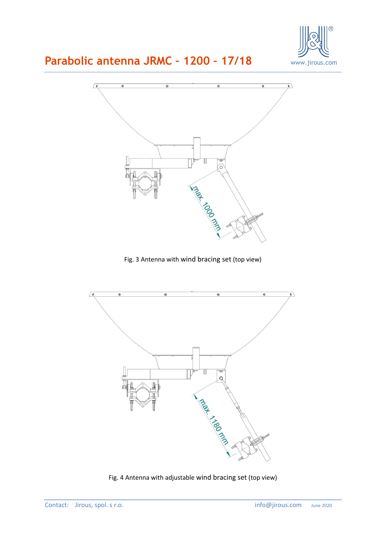



Fig. 3 Antenna with wind bracing set (top view)



Fig. 4 Antenna with adjustable wind bracing set (top view)